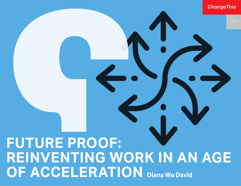ChangeThis

# **FUTURE PROOF: REINVENTING WORK IN AN AGE OF ACCELERATION Diana Wu David**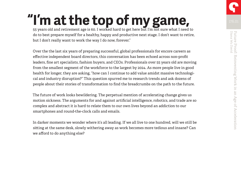55 years old and retirement age is 60. I worked hard to get here but I'm not sure what I need to do to best prepare myself for a healthy, happy and productive next stage. I don't want to retire, but I don't really want to work the way I do now, forever." **"I'm at the top of my game,**

Over the the last six years of preparing successful, global professionals for encore careers as effective independent board directors, this conversation has been echoed across non-profit leaders, fine art specialists, fashion buyers, and CEOs. Professionals over 55 years old are moving from the smallest segment of the workforce to the largest by 2024. As more people live in good health for longer, they are asking, "how can I continue to add value amidst massive technological and industry disruption?" This question spurred me to research trends and ask dozens of people about their stories of transformation to find the breadcrumbs on the path to the future.

The future of work looks bewildering. The perpetual mention of accelerating change gives us motion sickness. The arguments for and against artificial intelligence, robotics, and trade are so complex and abstract it is hard to relate them to our own lives beyond an addiction to our smartphones and round-the-clock calls and emails.

In darker moments we wonder where it's all leading. If we all live to one hundred, will we still be sitting at the same desk, slowly withering away as work becomes more tedious and insane? Can we afford to do anything else?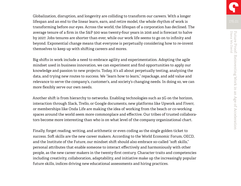Globalization, disruption, and longevity are colliding to transform our careers. With a longer lifespan and an end to the linear learn, earn, and retire model, the whole rhythm of work is transforming before our eyes. Across the world, the lifespan of a corporation has declined. The average tenure of a firm in the S&P 500 was twenty-four years in 2016 and is forecast to halve by 2027. Jobs tenures are shorter than ever, while our work life seems to go on to infinity and beyond. Exponential change means that everyone is perpetually considering how to re-invent themselves to keep up with shifting careers and mores.

Big shifts in work include a need to embrace agility and experimentation. Adopting the agile mindset used in business innovation, we can experiment and find opportunities to apply our knowledge and passion to new projects. Today, it's all about perpetually testing, analyzing the data, and trying new routes to success. We "learn how to learn," repackage, and add value and relevance to serve the company's, customer's, and society's changing needs. In doing so, we can more flexibly serve our own needs.

Another shift is from hierarchy to networks. Enabling technologies such as 5G on the horizon, interaction through Slack, Trello, or Google documents, new platforms like Upwork and Fiverr, or memberships like Onda Life are making the idea of working from the beach or co-working spaces around the world seem more commonplace and effective. Our tribes of trusted collaborators become more interesting than who is on what level of the company organizational chart.

Finally, forget reading, writing, and arithmetic or even coding as the single golden ticket to success. Soft skills are the new career makers. According to the World Economic Forum, OECD, and the Institute of the Future, our mindset shift should also embrace so-called "soft skills," personal attributes that enable someone to interact effectively and harmoniously with other people, as the new career makers in the twenty-first century. Character traits and competencies including creativity, collaboration, adaptability, and initiative make up the increasingly popular future skills, indices driving new educational assessments and hiring practices.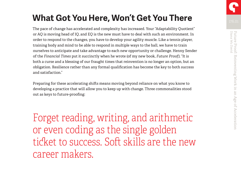The pace of change has accelerated and complexity has increased. Your "Adaptability Quotient" or AQ is moving head of IQ, and EQ is the new must have to deal with such an environment. In order to respond to the changes, you have to develop your agility muscle. Like a tennis player, training body and mind to be able to respond in multiple ways to the ball, we have to train ourselves to anticipate and take advantage to each new opportunity or challenge. Henny Sender of the *Financial Times* put it succinctly when he wrote (of my new book, *Future Proof),* "It is both a curse and a blessing of our fraught times that reinvention is no longer an option, but an obligation. Resilience rather than any formal qualification has become the key to both success and satisfaction."

Preparing for these accelerating shifts means moving beyond reliance on what you know to developing a practice that will allow you to keep up with change. Three commonalities stood out as keys to future-proofing:

Forget reading, writing, and arithmetic or even coding as the single golden ticket to success. Soft skills are the new career makers.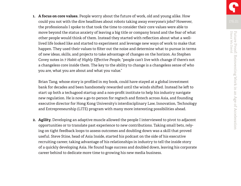**1. A focus on core values.** People worry about the future of work, old and young alike. How could you not with the dire headlines about robots taking away everyone's jobs? However, the professionals I spoke to that took the time to consider their core values were able to move beyond the status anxiety of leaving a big title or company brand and the fear of what other people would think of them. Instead they started with reflection about what a welllived life looked like and started to experiment and leverage new ways of work to make that happen. They used their values to filter out the noise and determine what to pursue in terms of new ideas, skills, and projects to take advantage of changes on the horizon. As Stephen Covey notes in *7 Habit of Highly Effective People*, "people can't live with change if there's not a changeless core inside them. The key to the ability to change is a changeless sense of who you are, what you are about and what you value."

Brian Tang, whose story is profiled in my book, could have stayed at a global investment bank for decades and been handsomely rewarded until the winds shifted. Instead he left to start up both a tech4good startup and a non-profit institute to help his industry navigate new regulation. He is now a go-to person for regtech and fintech across Asia, and founding executive director for Hong Kong University's interdisciplinary Law, Innovation, Technology and Entrepreneurship (LITE) program with many more interesting possibilities ahead.

**2. Agility.** Developing an adaptive muscle allowed the people I interviewed to pivot to adjacent opportunities or to translate past experience to new contributions. Taking small bets, relying on tight feedback loops to assess outcomes and doubling down was a skill that proved useful. Steve Stine, head of Asia Inside, started his podcast on the side of his executive recruiting career, taking advantage of his relationships in industry to tell the inside story of a quickly developing Asia. He found huge success and doubled down, leaving his corporate career behind to dedicate more time to growing his new media business.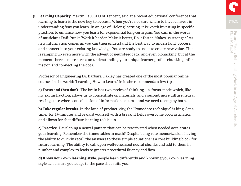**3. Learning Capacity.** Martin Lau, CEO of Tencent, said at a recent educational conference that learning to learn is the new key to success. When you're not sure where to invest, invest in understanding *how* you learn. In an age of lifelong learning, it is worth investing in specific practices to enhance how you learn for exponential long-term gain. You can, in the words of musicians Daft Punk: "Work it harder, Make it better, Do it faster, Makes us stronger." As new information comes in, you can then understand the best way to understand, process, and connect it to your existing knowledge. You are ready to use it to create new value. This is ramping up even more with the advent of neurofeedback, and even biohacking, but at the moment there is more stress on understanding your unique learner profile, chunking information and connecting the dots.

Professor of Engineering Dr. Barbara Oakley has created one of the most popular online courses in the world: "Learning How to Learn." In it, she recommends a few tips:

**a) Focus and then don't.** The brain has two modes of thinking—a 'focus' mode which, like my ski instruction, allows us to concentrate on materials, and a second, more diffuse neural resting state where consolidation of information occurs—and we need to employ both.

**b) Take regular breaks.** In the land of productivity, the "Pomodoro technique" is king. Set a timer for 25-minutes and reward yourself with a break. It helps overcome procrastination and allows for that diffuse learning to kick in.

**c) Practice.** Developing a neural pattern that can be reactivated when needed accelerates your learning. Remember the times tables in math? Despite being rote memorization, having the ability to quickly recall the answers to these simple equations is a core building block for future learning. The ability to call upon well-rehearsed neural chunks and add to them in number and complexity leads to greater procedural fluency and flow.

**d) Know your own learning style.** people learn differently and knowing your own learning style can ensure you adapt to the pace that suits you.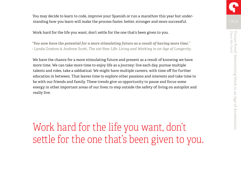You may decide to learn to code, improve your Spanish or run a marathon this year but understanding how you learn will make the process faster, better, stronger and more successful.

Work hard for the life you want, don't settle for the one that's been given to you.

*"You now have the potential for a more stimulating future as a result of having more time."*  - Lynda Gratton & Andrew Scott, *The 100-Year Life: Living and Working in an Age of Longevity* 

We have the chance for a more stimulating future and present as a result of knowing we have more time. We can take more time to enjoy life as a journey: live each day, pursue multiple talents and roles, take a sabbatical. We might have multiple careers, with time off for further education in between. That leaves time to explore other passions and interests and take time to be with our friends and family. These trends give us opportunity to pause and focus some energy in other important areas of our lives; to step outside the safety of living on autopilot and really live.

Work hard for the life you want, don't settle for the one that's been given to you.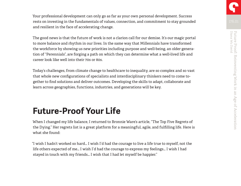Your professional development can only go as far as your own personal development. Success rests on investing in the fundamentals of values, connection, and commitment to stay grounded and resilient in the face of accelerating change.

The good news is that the future of work is not a clarion call for our demise. It's our magic portal to more balance and rhythm in our lives. In the same way that Millennials have transformed the workforce by showing us new priorities including purpose and well-being, an older generation of "Perennials", are forging a path on which they can determine what a well-lived life and career look like well into their 70s or 80s.

Today's challenges, from climate change to healthcare to inequality, are so complex and so vast that whole new configurations of specialists and interdisciplinary thinkers need to come together to find solutions and deliver outcomes. Developing the skills to adapt, collaborate and learn across geographies, functions, industries, and generations will be key.

# **Future-Proof Your Life**

When I changed my life balance, I returned to Bronnie Ware's article, "The Top Five Regrets of the Dying." Her regrets list is a great platform for a meaningful, agile, and fulfilling life. Here is what she found:

"I wish I hadn't worked so hard… I wish I'd had the courage to live a life true to myself, not the life others expected of me… I wish I'd had the courage to express my feelings… I wish I had stayed in touch with my friends… I wish that I had let myself be happier."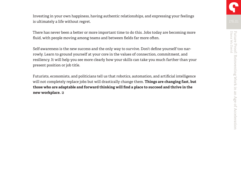Investing in your own happiness, having authentic relationships, and expressing your feelings is ultimately a life without regret.

There has never been a better or more important time to do this. Jobs today are becoming more fluid, with people moving among teams and between fields far more often.

Self-awareness is the new success and the only way to survive. Don't define yourself too narrowly. Learn to ground yourself at your core in the values of connection, commitment, and resiliency. It will help you see more clearly how your skills can take you much farther than your present position or job title.

Futurists, economists, and politicians tell us that robotics, automation, and artificial intelligence will not completely replace jobs but will drastically change them. **Things are changing fast, but those who are adaptable and forward thinking will find a place to succeed and thrive in the new workplace.**